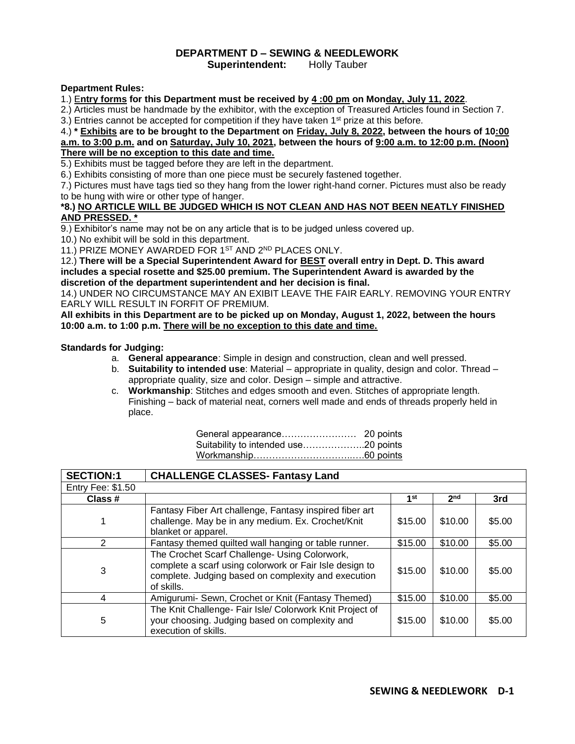## **DEPARTMENT D – SEWING & NEEDLEWORK**

**Superintendent:** Holly Tauber

## **Department Rules:**

1.) E**ntry forms for this Department must be received by 4 :00 pm on Monday, July 11, 2022**.

2.) Articles must be handmade by the exhibitor, with the exception of Treasured Articles found in Section 7.

3.) Entries cannot be accepted for competition if they have taken  $1<sup>st</sup>$  prize at this before.

4.) **\* Exhibits are to be brought to the Department on Friday, July 8, 2022, between the hours of 10:00 a.m. to 3:00 p.m. and on Saturday, July 10, 2021, between the hours of 9:00 a.m. to 12:00 p.m. (Noon) There will be no exception to this date and time.**

5.) Exhibits must be tagged before they are left in the department.

6.) Exhibits consisting of more than one piece must be securely fastened together.

7.) Pictures must have tags tied so they hang from the lower right-hand corner. Pictures must also be ready to be hung with wire or other type of hanger.

## **\*8.) NO ARTICLE WILL BE JUDGED WHICH IS NOT CLEAN AND HAS NOT BEEN NEATLY FINISHED AND PRESSED. \***

9.) Exhibitor's name may not be on any article that is to be judged unless covered up.

10.) No exhibit will be sold in this department.

11.) PRIZE MONEY AWARDED FOR 1ST AND 2ND PLACES ONLY.

12.) **There will be a Special Superintendent Award for BEST overall entry in Dept. D. This award includes a special rosette and \$25.00 premium. The Superintendent Award is awarded by the discretion of the department superintendent and her decision is final.**

14.) UNDER NO CIRCUMSTANCE MAY AN EXIBIT LEAVE THE FAIR EARLY. REMOVING YOUR ENTRY EARLY WILL RESULT IN FORFIT OF PREMIUM.

**All exhibits in this Department are to be picked up on Monday, August 1, 2022, between the hours 10:00 a.m. to 1:00 p.m. There will be no exception to this date and time.**

## **Standards for Judging:**

- a. **General appearance**: Simple in design and construction, clean and well pressed.
- b. **Suitability to intended use**: Material appropriate in quality, design and color. Thread appropriate quality, size and color. Design – simple and attractive.
- c. **Workmanship**: Stitches and edges smooth and even. Stitches of appropriate length. Finishing – back of material neat, corners well made and ends of threads properly held in place.

| <b>SECTION:1</b>         | <b>CHALLENGE CLASSES- Fantasy Land</b>                                                                                                                                        |         |                 |        |
|--------------------------|-------------------------------------------------------------------------------------------------------------------------------------------------------------------------------|---------|-----------------|--------|
| <b>Entry Fee: \$1.50</b> |                                                                                                                                                                               |         |                 |        |
| Class #                  |                                                                                                                                                                               | 1st     | 2 <sub>nd</sub> | 3rd    |
|                          | Fantasy Fiber Art challenge, Fantasy inspired fiber art<br>challenge. May be in any medium. Ex. Crochet/Knit<br>blanket or apparel.                                           | \$15.00 | \$10.00         | \$5.00 |
| 2                        | Fantasy themed quilted wall hanging or table runner.                                                                                                                          | \$15.00 | \$10.00         | \$5.00 |
| 3                        | The Crochet Scarf Challenge- Using Colorwork,<br>complete a scarf using colorwork or Fair Isle design to<br>complete. Judging based on complexity and execution<br>of skills. | \$15.00 | \$10.00         | \$5.00 |
| 4                        | Amigurumi- Sewn, Crochet or Knit (Fantasy Themed)                                                                                                                             | \$15.00 | \$10.00         | \$5.00 |
| 5                        | The Knit Challenge- Fair Isle/ Colorwork Knit Project of<br>your choosing. Judging based on complexity and<br>execution of skills.                                            | \$15.00 | \$10.00         | \$5.00 |

| Suitability to intended use20 points |  |
|--------------------------------------|--|
|                                      |  |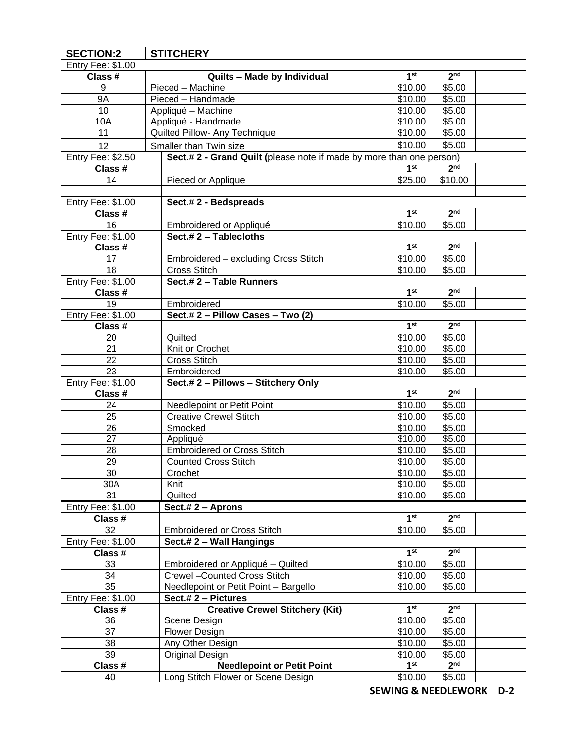| <b>SECTION:2</b>  | <b>STITCHERY</b>                                                     |                 |                 |  |
|-------------------|----------------------------------------------------------------------|-----------------|-----------------|--|
| Entry Fee: \$1.00 |                                                                      |                 |                 |  |
| Class #           | Quilts - Made by Individual                                          | 1 <sup>st</sup> | 2 <sup>nd</sup> |  |
| 9                 | Pieced - Machine                                                     | \$10.00         | \$5.00          |  |
| <b>9A</b>         | Pieced - Handmade                                                    | \$10.00         | \$5.00          |  |
| 10                | Appliqué - Machine                                                   | \$10.00         | \$5.00          |  |
| 10A               | Appliqué - Handmade                                                  | \$10.00         | \$5.00          |  |
| 11                | Quilted Pillow- Any Technique                                        | \$10.00         | \$5.00          |  |
| 12                | Smaller than Twin size                                               | \$10.00         | \$5.00          |  |
| Entry Fee: \$2.50 | Sect.# 2 - Grand Quilt (please note if made by more than one person) |                 |                 |  |
| Class #           |                                                                      | 1 <sup>st</sup> | 2 <sub>nd</sub> |  |
| 14                | Pieced or Applique                                                   | \$25.00         | \$10.00         |  |
|                   |                                                                      |                 |                 |  |
| Entry Fee: \$1.00 | Sect.#2 - Bedspreads                                                 |                 |                 |  |
| Class #           |                                                                      | 1 <sup>st</sup> | 2 <sup>nd</sup> |  |
| 16                | Embroidered or Appliqué                                              | \$10.00         | \$5.00          |  |
| Entry Fee: \$1.00 | Sect.#2 - Tablecloths                                                |                 |                 |  |
| Class #           |                                                                      | 1 <sup>st</sup> | 2 <sub>nd</sub> |  |
| 17                | Embroidered - excluding Cross Stitch                                 | \$10.00         | \$5.00          |  |
| 18                | <b>Cross Stitch</b>                                                  | \$10.00         | \$5.00          |  |
| Entry Fee: \$1.00 | Sect.# 2 - Table Runners                                             |                 |                 |  |
| Class #           |                                                                      | 1 <sup>st</sup> | 2 <sub>nd</sub> |  |
| 19                | Embroidered                                                          | \$10.00         | \$5.00          |  |
| Entry Fee: \$1.00 | Sect.# 2 - Pillow Cases - Two (2)                                    |                 |                 |  |
| Class #           |                                                                      | 1 <sup>st</sup> | 2 <sub>nd</sub> |  |
| 20                | Quilted                                                              | \$10.00         | \$5.00          |  |
| 21                | Knit or Crochet                                                      | \$10.00         | \$5.00          |  |
| 22                | <b>Cross Stitch</b>                                                  | \$10.00         | \$5.00          |  |
| 23                | Embroidered                                                          | \$10.00         | \$5.00          |  |
| Entry Fee: \$1.00 | Sect.# 2 - Pillows - Stitchery Only                                  |                 |                 |  |
| Class #           |                                                                      | 1 <sup>st</sup> | 2 <sup>nd</sup> |  |
| 24                | Needlepoint or Petit Point                                           | \$10.00         | \$5.00          |  |
| 25                | <b>Creative Crewel Stitch</b>                                        | \$10.00         | \$5.00          |  |
| 26                | Smocked                                                              | \$10.00         | \$5.00          |  |
| 27                | Appliqué                                                             | \$10.00         | \$5.00          |  |
| 28                | <b>Embroidered or Cross Stitch</b>                                   | \$10.00         | \$5.00          |  |
| 29                | <b>Counted Cross Stitch</b>                                          | \$10.00         | \$5.00          |  |
| 30                | Crochet                                                              | \$10.00         | \$5.00          |  |
| 30A               | Knit                                                                 | \$10.00         | \$5.00          |  |
| 31                | Quilted                                                              | \$10.00         | \$5.00          |  |
| Entry Fee: \$1.00 | Sect.# 2 - Aprons                                                    |                 |                 |  |
| Class #           |                                                                      | 1 <sup>st</sup> | 2 <sup>nd</sup> |  |
| 32                | <b>Embroidered or Cross Stitch</b>                                   | \$10.00         | \$5.00          |  |
| Entry Fee: \$1.00 | Sect.# 2 - Wall Hangings                                             |                 |                 |  |
| Class #           |                                                                      | 1 <sup>st</sup> | 2 <sub>nd</sub> |  |
| 33                | Embroidered or Appliqué - Quilted                                    | \$10.00         | \$5.00          |  |
| 34                | Crewel - Counted Cross Stitch                                        | \$10.00         | \$5.00          |  |
| 35                | Needlepoint or Petit Point - Bargello                                | \$10.00         | \$5.00          |  |
| Entry Fee: \$1.00 | Sect.# 2 - Pictures                                                  |                 |                 |  |
| Class #           | <b>Creative Crewel Stitchery (Kit)</b>                               | 1 <sup>st</sup> | 2 <sub>nd</sub> |  |
| 36                | Scene Design                                                         | \$10.00         | \$5.00          |  |
| 37                | <b>Flower Design</b>                                                 | \$10.00         | \$5.00          |  |
| 38                | Any Other Design                                                     | \$10.00         | \$5.00          |  |
| 39                | Original Design                                                      | \$10.00         | \$5.00          |  |
| Class #           | <b>Needlepoint or Petit Point</b>                                    | 1 <sup>st</sup> | 2 <sup>nd</sup> |  |
| 40                | Long Stitch Flower or Scene Design                                   | \$10.00         | \$5.00          |  |
|                   |                                                                      |                 |                 |  |

**SEWING & NEEDLEWORK D-2**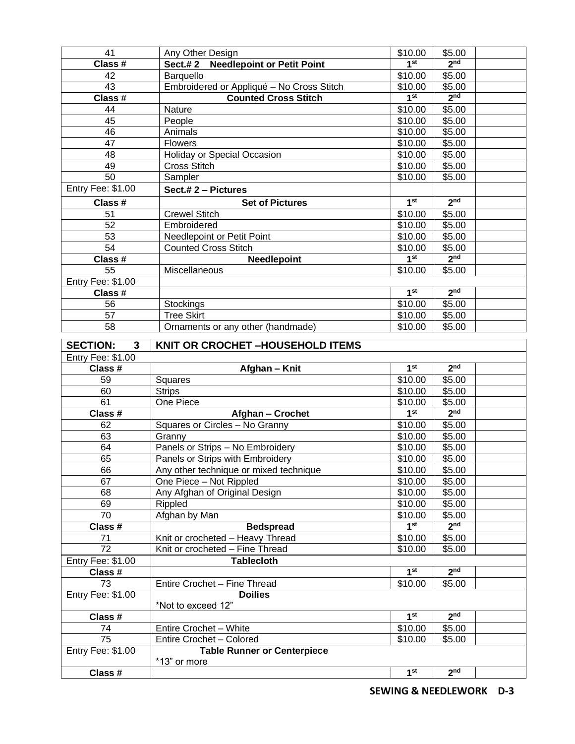| 41                   |                                                     | \$10.00         | \$5.00          |  |
|----------------------|-----------------------------------------------------|-----------------|-----------------|--|
| Class #              | Any Other Design                                    | 1 <sup>st</sup> | 2 <sub>nd</sub> |  |
|                      | <b>Needlepoint or Petit Point</b><br><b>Sect.#2</b> |                 |                 |  |
| 42                   | Barquello                                           | \$10.00         | \$5.00          |  |
| 43                   | Embroidered or Appliqué - No Cross Stitch           | \$10.00         | \$5.00          |  |
| Class #              | <b>Counted Cross Stitch</b>                         | 1 <sup>st</sup> | 2 <sub>nd</sub> |  |
| 44                   | Nature                                              | \$10.00         | \$5.00          |  |
| 45                   | People                                              | \$10.00         | \$5.00          |  |
| 46                   | Animals                                             | \$10.00         | \$5.00          |  |
| 47                   | <b>Flowers</b>                                      | \$10.00         | \$5.00          |  |
| 48                   | <b>Holiday or Special Occasion</b>                  | \$10.00         | \$5.00          |  |
| 49                   | <b>Cross Stitch</b>                                 | \$10.00         | \$5.00          |  |
| 50                   | Sampler                                             | \$10.00         | \$5.00          |  |
| Entry Fee: \$1.00    | Sect.# 2 - Pictures                                 |                 |                 |  |
| Class #              | <b>Set of Pictures</b>                              | 1 <sup>st</sup> | 2 <sub>nd</sub> |  |
| 51                   | <b>Crewel Stitch</b>                                | \$10.00         | \$5.00          |  |
| 52                   | Embroidered                                         | \$10.00         | \$5.00          |  |
| 53                   | Needlepoint or Petit Point                          | \$10.00         | \$5.00          |  |
| $\overline{54}$      | <b>Counted Cross Stitch</b>                         | \$10.00         | \$5.00          |  |
| Class #              | Needlepoint                                         | 1 <sup>st</sup> | 2 <sub>nd</sub> |  |
| 55                   | Miscellaneous                                       | \$10.00         | \$5.00          |  |
| Entry Fee: \$1.00    |                                                     |                 |                 |  |
| Class #              |                                                     | 1 <sup>st</sup> | 2 <sub>nd</sub> |  |
| 56                   | Stockings                                           | \$10.00         | \$5.00          |  |
| 57                   | <b>Tree Skirt</b>                                   | \$10.00         | \$5.00          |  |
| 58                   | Ornaments or any other (handmade)                   | \$10.00         | \$5.00          |  |
|                      |                                                     |                 |                 |  |
| <b>SECTION:</b><br>3 | KNIT OR CROCHET-HOUSEHOLD ITEMS                     |                 |                 |  |
| Entry Fee: \$1.00    |                                                     |                 |                 |  |
|                      |                                                     |                 |                 |  |
|                      |                                                     |                 |                 |  |
| Class #              | Afghan - Knit                                       | 1 <sup>st</sup> | 2 <sup>nd</sup> |  |
| 59                   | Squares                                             | \$10.00         | \$5.00          |  |
| 60                   | <b>Strips</b>                                       | \$10.00         | \$5.00          |  |
| 61                   | One Piece                                           | \$10.00         | \$5.00          |  |
| Class #              | Afghan - Crochet                                    | 1 <sup>st</sup> | 2 <sub>nd</sub> |  |
| 62                   | Squares or Circles - No Granny                      | \$10.00         | \$5.00          |  |
| 63                   | Granny                                              | \$10.00         | \$5.00          |  |
| 64                   | Panels or Strips - No Embroidery                    | \$10.00         | \$5.00          |  |
| 65                   | Panels or Strips with Embroidery                    | \$10.00         | \$5.00          |  |
| 66                   | Any other technique or mixed technique              | \$10.00         | \$5.00          |  |
| 67                   | One Piece - Not Rippled                             | \$10.00         | \$5.00          |  |
| 68                   | Any Afghan of Original Design                       | \$10.00         | \$5.00          |  |
| 69                   | Rippled                                             | \$10.00         | \$5.00          |  |
| 70                   | Afghan by Man                                       | \$10.00         | \$5.00          |  |
| Class #              | <b>Bedspread</b>                                    | 1 <sup>st</sup> | 2 <sup>nd</sup> |  |
| 71                   | Knit or crocheted - Heavy Thread                    | \$10.00         | \$5.00          |  |
| 72                   | Knit or crocheted - Fine Thread                     | \$10.00         | \$5.00          |  |
| Entry Fee: \$1.00    | <b>Tablecloth</b>                                   |                 |                 |  |
| Class #              |                                                     | 1 <sup>st</sup> | 2 <sub>nd</sub> |  |
| 73                   | Entire Crochet - Fine Thread                        | \$10.00         | \$5.00          |  |
| Entry Fee: \$1.00    | <b>Doilies</b>                                      |                 |                 |  |
|                      | *Not to exceed 12"                                  |                 |                 |  |
| Class #              |                                                     | 1 <sup>st</sup> | 2 <sup>nd</sup> |  |
| 74                   | Entire Crochet - White                              | \$10.00         | \$5.00          |  |
| 75                   | Entire Crochet - Colored                            | \$10.00         | \$5.00          |  |
| Entry Fee: \$1.00    | <b>Table Runner or Centerpiece</b>                  |                 |                 |  |
| Class #              | *13" or more                                        | 1 <sup>st</sup> | 2 <sub>nd</sub> |  |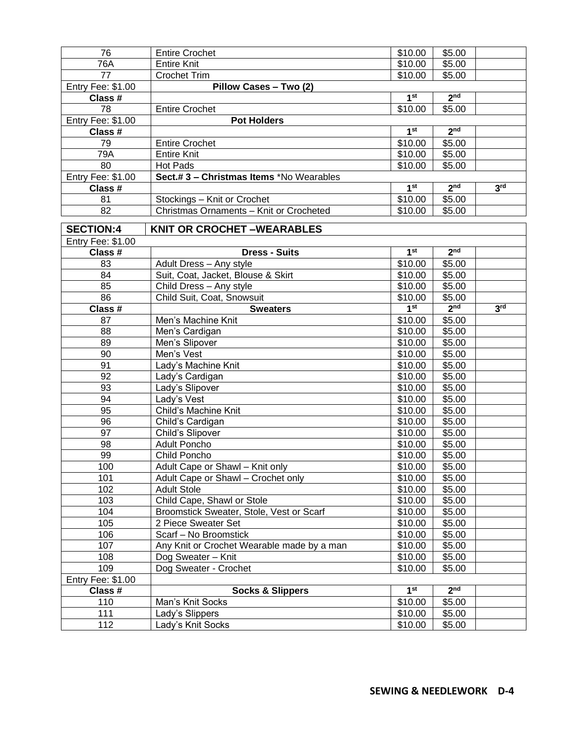| 76                | <b>Entire Crochet</b>                      | \$10.00         | \$5.00          |                 |
|-------------------|--------------------------------------------|-----------------|-----------------|-----------------|
| 76A               | <b>Entire Knit</b>                         | \$10.00         | \$5.00          |                 |
| 77                | <b>Crochet Trim</b>                        | \$10.00         | \$5.00          |                 |
| Entry Fee: \$1.00 | Pillow Cases - Two (2)                     |                 |                 |                 |
| Class #           |                                            | 1 <sup>st</sup> | 2 <sub>nd</sub> |                 |
| 78                | <b>Entire Crochet</b>                      | \$10.00         | \$5.00          |                 |
| Entry Fee: \$1.00 | <b>Pot Holders</b>                         |                 |                 |                 |
| Class #           |                                            | 1 <sup>st</sup> | 2 <sub>nd</sub> |                 |
| 79                | <b>Entire Crochet</b>                      | \$10.00         | \$5.00          |                 |
| 79A               | <b>Entire Knit</b>                         | \$10.00         | \$5.00          |                 |
| 80                | Hot Pads                                   | \$10.00         | \$5.00          |                 |
| Entry Fee: \$1.00 | Sect.# 3 - Christmas Items *No Wearables   |                 |                 |                 |
| Class #           |                                            | 1 <sup>st</sup> | 2 <sub>nd</sub> | 3 <sup>rd</sup> |
| 81                | Stockings - Knit or Crochet                | \$10.00         | \$5.00          |                 |
| 82                | Christmas Ornaments - Knit or Crocheted    | \$10.00         | \$5.00          |                 |
| <b>SECTION:4</b>  | <b>KNIT OR CROCHET-WEARABLES</b>           |                 |                 |                 |
| Entry Fee: \$1.00 |                                            |                 |                 |                 |
| Class #           | <b>Dress - Suits</b>                       | 1 <sup>st</sup> | 2 <sub>nd</sub> |                 |
| 83                | Adult Dress - Any style                    | \$10.00         | \$5.00          |                 |
| 84                | Suit, Coat, Jacket, Blouse & Skirt         | \$10.00         | \$5.00          |                 |
| 85                | Child Dress - Any style                    | \$10.00         | \$5.00          |                 |
| 86                | Child Suit, Coat, Snowsuit                 | \$10.00         | \$5.00          |                 |
| Class #           | <b>Sweaters</b>                            | 1 <sup>st</sup> | 2 <sub>nd</sub> | 3 <sup>rd</sup> |
| 87                | Men's Machine Knit                         | \$10.00         | \$5.00          |                 |
| 88                | Men's Cardigan                             | \$10.00         | \$5.00          |                 |
| 89                | Men's Slipover                             | \$10.00         | \$5.00          |                 |
| 90                | Men's Vest                                 | \$10.00         | \$5.00          |                 |
| 91                | Lady's Machine Knit                        | \$10.00         | \$5.00          |                 |
| 92                | Lady's Cardigan                            | \$10.00         | \$5.00          |                 |
| 93                | Lady's Slipover                            | \$10.00         | \$5.00          |                 |
| 94                | Lady's Vest                                | \$10.00         | \$5.00          |                 |
| 95                | Child's Machine Knit                       | \$10.00         | \$5.00          |                 |
| 96                | Child's Cardigan                           | \$10.00         | \$5.00          |                 |
| 97                | Child's Slipover                           | \$10.00         | \$5.00          |                 |
| 98                | <b>Adult Poncho</b>                        | \$10.00         | \$5.00          |                 |
| 99                | Child Poncho                               | \$10.00         | \$5.00          |                 |
| 100               | Adult Cape or Shawl - Knit only            | \$10.00         | \$5.00          |                 |
| 101               | Adult Cape or Shawl - Crochet only         | \$10.00         | \$5.00          |                 |
| 102               | <b>Adult Stole</b>                         | \$10.00         | \$5.00          |                 |
| 103               | Child Cape, Shawl or Stole                 | \$10.00         | \$5.00          |                 |
| 104               | Broomstick Sweater, Stole, Vest or Scarf   | \$10.00         | \$5.00          |                 |
| 105               | 2 Piece Sweater Set                        | \$10.00         | \$5.00          |                 |
| 106               | Scarf - No Broomstick                      | \$10.00         | \$5.00          |                 |
| 107               | Any Knit or Crochet Wearable made by a man | \$10.00         | \$5.00          |                 |
| 108               | Dog Sweater - Knit                         | \$10.00         | \$5.00          |                 |
| 109               | Dog Sweater - Crochet                      | \$10.00         | \$5.00          |                 |
| Entry Fee: \$1.00 |                                            | 1 <sup>st</sup> | 2 <sub>nd</sub> |                 |
| Class #           | <b>Socks &amp; Slippers</b>                |                 |                 |                 |
| 110               | Man's Knit Socks                           | \$10.00         | \$5.00          |                 |
| 111               | Lady's Slippers                            | \$10.00         | \$5.00          |                 |
| 112               | Lady's Knit Socks                          | \$10.00         | \$5.00          |                 |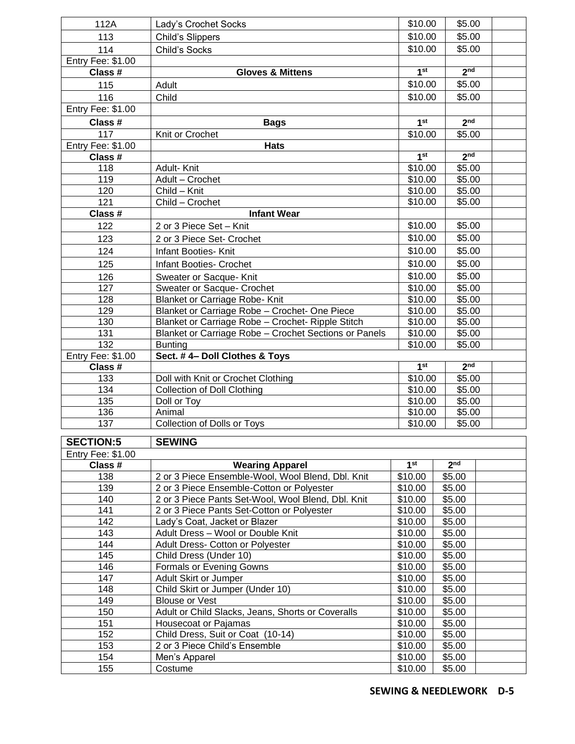| 112A              | Lady's Crochet Socks                                  | \$10.00            | \$5.00           |  |
|-------------------|-------------------------------------------------------|--------------------|------------------|--|
| 113               | Child's Slippers                                      | \$10.00            | \$5.00           |  |
| 114               | <b>Child's Socks</b>                                  | \$10.00            | \$5.00           |  |
| Entry Fee: \$1.00 |                                                       |                    |                  |  |
| Class #           | <b>Gloves &amp; Mittens</b>                           | 1 <sup>st</sup>    | 2 <sub>nd</sub>  |  |
| 115               | Adult                                                 | \$10.00            | \$5.00           |  |
|                   |                                                       |                    |                  |  |
| 116               | Child                                                 | \$10.00            | \$5.00           |  |
| Entry Fee: \$1.00 |                                                       |                    |                  |  |
| Class #           | <b>Bags</b>                                           | 1 <sup>st</sup>    | 2 <sub>nd</sub>  |  |
| 117               | Knit or Crochet                                       | \$10.00            | \$5.00           |  |
| Entry Fee: \$1.00 | <b>Hats</b>                                           | 1 <sup>st</sup>    | 2 <sub>nd</sub>  |  |
| Class #<br>118    |                                                       |                    | \$5.00           |  |
| 119               | Adult-Knit<br>Adult - Crochet                         | \$10.00<br>\$10.00 | \$5.00           |  |
| 120               | Child - Knit                                          | \$10.00            | \$5.00           |  |
| 121               | Child - Crochet                                       | \$10.00            | \$5.00           |  |
| Class #           | <b>Infant Wear</b>                                    |                    |                  |  |
|                   |                                                       | \$10.00            | \$5.00           |  |
| 122               | 2 or 3 Piece Set - Knit                               |                    |                  |  |
| 123               | 2 or 3 Piece Set- Crochet                             | \$10.00            | \$5.00           |  |
| 124               | Infant Booties- Knit                                  | \$10.00            | \$5.00           |  |
| 125               | Infant Booties- Crochet                               | \$10.00            | \$5.00           |  |
| 126               | Sweater or Sacque- Knit                               | \$10.00            | \$5.00           |  |
| 127               | Sweater or Sacque- Crochet                            | \$10.00            | \$5.00           |  |
| 128               | <b>Blanket or Carriage Robe- Knit</b>                 | \$10.00            | \$5.00           |  |
| 129               | Blanket or Carriage Robe - Crochet- One Piece         | \$10.00            | \$5.00           |  |
| 130               | Blanket or Carriage Robe - Crochet- Ripple Stitch     | \$10.00            | \$5.00           |  |
| 131               | Blanket or Carriage Robe - Crochet Sections or Panels | \$10.00            | \$5.00           |  |
| 132               | <b>Bunting</b>                                        | \$10.00            | \$5.00           |  |
| Entry Fee: \$1.00 | Sect. #4- Doll Clothes & Toys                         |                    |                  |  |
| Class #           |                                                       | 1 <sup>st</sup>    | 2 <sup>nd</sup>  |  |
| 133               | Doll with Knit or Crochet Clothing                    | \$10.00            | \$5.00           |  |
| 134               | <b>Collection of Doll Clothing</b>                    | \$10.00            | \$5.00           |  |
| 135<br>136        | Doll or Toy<br>Animal                                 | \$10.00            | \$5.00<br>\$5.00 |  |
| 137               | Collection of Dolls or Toys                           | \$10.00<br>\$10.00 | \$5.00           |  |
|                   |                                                       |                    |                  |  |
| <b>SECTION:5</b>  | <b>SEWING</b>                                         |                    |                  |  |
| Entry Fee: \$1.00 |                                                       |                    |                  |  |
| Class #           | <b>Wearing Apparel</b>                                | 1 <sup>st</sup>    | 2 <sub>nd</sub>  |  |
| 138               | 2 or 3 Piece Ensemble-Wool, Wool Blend, Dbl. Knit     | \$10.00            | \$5.00           |  |
| 139               | 2 or 3 Piece Ensemble-Cotton or Polyester             | \$10.00            | \$5.00           |  |
| 140               | 2 or 3 Piece Pants Set-Wool, Wool Blend, Dbl. Knit    | \$10.00            | \$5.00           |  |
| 141               | 2 or 3 Piece Pants Set-Cotton or Polyester            | \$10.00            | \$5.00           |  |
| 142               | Lady's Coat, Jacket or Blazer                         | \$10.00            | \$5.00           |  |
| 143               | Adult Dress - Wool or Double Knit                     | \$10.00            | \$5.00           |  |
| 144               | Adult Dress- Cotton or Polyester                      | \$10.00            | \$5.00           |  |
| 145               | Child Dress (Under 10)                                | \$10.00            | \$5.00           |  |
| 146               | Formals or Evening Gowns                              | \$10.00            | \$5.00           |  |
| 147               | Adult Skirt or Jumper                                 | \$10.00            | \$5.00           |  |
| 148               | Child Skirt or Jumper (Under 10)                      | \$10.00            | \$5.00           |  |
| 149               | <b>Blouse or Vest</b>                                 | \$10.00            | \$5.00           |  |
| 150               | Adult or Child Slacks, Jeans, Shorts or Coveralls     | \$10.00            | \$5.00           |  |
| 151               | Housecoat or Pajamas                                  | \$10.00            | \$5.00           |  |
| 152               | Child Dress, Suit or Coat (10-14)                     | \$10.00            | \$5.00           |  |
| 153<br>154        | 2 or 3 Piece Child's Ensemble<br>Men's Apparel        | \$10.00<br>\$10.00 | \$5.00<br>\$5.00 |  |
| 155               | Costume                                               | \$10.00            | \$5.00           |  |
|                   |                                                       |                    |                  |  |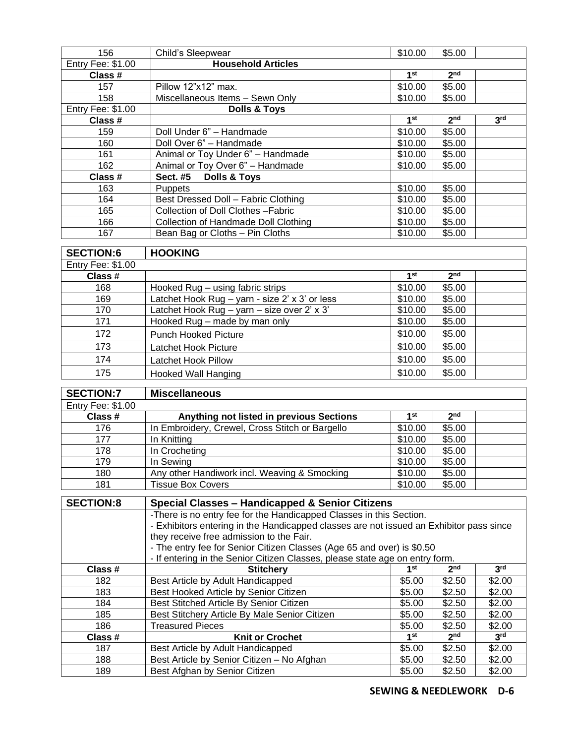| 156                      | Child's Sleepwear                    | \$10.00         | \$5.00          |                 |
|--------------------------|--------------------------------------|-----------------|-----------------|-----------------|
| <b>Entry Fee: \$1.00</b> | <b>Household Articles</b>            |                 |                 |                 |
| Class #                  |                                      | 1 <sup>st</sup> | 2 <sub>nd</sub> |                 |
| 157                      | Pillow 12"x12" max.                  | \$10.00         | \$5.00          |                 |
| 158                      | Miscellaneous Items - Sewn Only      | \$10.00         | \$5.00          |                 |
| Entry Fee: \$1.00        | <b>Dolls &amp; Toys</b>              |                 |                 |                 |
| Class #                  |                                      | 1st             | 2 <sub>nd</sub> | 3 <sup>rd</sup> |
| 159                      | Doll Under 6" - Handmade             | \$10.00         | \$5.00          |                 |
| 160                      | Doll Over 6" - Handmade              | \$10.00         | \$5.00          |                 |
| 161                      | Animal or Toy Under 6" - Handmade    | \$10.00         | \$5.00          |                 |
| 162                      | Animal or Toy Over 6" - Handmade     | \$10.00         | \$5.00          |                 |
| Class #                  | Sect. #5 Dolls & Toys                |                 |                 |                 |
| 163                      | <b>Puppets</b>                       | \$10.00         | \$5.00          |                 |
| 164                      | Best Dressed Doll - Fabric Clothing  | \$10.00         | \$5.00          |                 |
| 165                      | Collection of Doll Clothes - Fabric  | \$10.00         | \$5.00          |                 |
| 166                      | Collection of Handmade Doll Clothing | \$10.00         | \$5.00          |                 |
| 167                      | Bean Bag or Cloths - Pin Cloths      | \$10.00         | \$5.00          |                 |

| <b>SECTION:6</b>  | <b>HOOKING</b>                                 |         |                 |  |
|-------------------|------------------------------------------------|---------|-----------------|--|
| Entry Fee: \$1.00 |                                                |         |                 |  |
| Class #           |                                                | 1st     | 2 <sub>nd</sub> |  |
| 168               | Hooked Rug - using fabric strips               | \$10.00 | \$5.00          |  |
| 169               | Latchet Hook Rug - yarn - size 2' x 3' or less | \$10.00 | \$5.00          |  |
| 170               | Latchet Hook Rug - yarn - size over 2' x 3'    | \$10.00 | \$5.00          |  |
| 171               | Hooked Rug - made by man only                  | \$10.00 | \$5.00          |  |
| 172               | <b>Punch Hooked Picture</b>                    | \$10.00 | \$5.00          |  |
| 173               | Latchet Hook Picture                           | \$10.00 | \$5.00          |  |
| 174               | Latchet Hook Pillow                            | \$10.00 | \$5.00          |  |
| 175               | Hooked Wall Hanging                            | \$10.00 | \$5.00          |  |

| <b>SECTION:7</b>         | <b>Miscellaneous</b>                            |         |                 |  |
|--------------------------|-------------------------------------------------|---------|-----------------|--|
| <b>Entry Fee: \$1.00</b> |                                                 |         |                 |  |
| Class #                  | Anything not listed in previous Sections        | 1st     | 2 <sub>nd</sub> |  |
| 176                      | In Embroidery, Crewel, Cross Stitch or Bargello | \$10.00 | \$5.00          |  |
| 177                      | In Knitting                                     | \$10.00 | \$5.00          |  |
| 178                      | In Crocheting                                   | \$10.00 | \$5.00          |  |
| 179                      | In Sewing                                       | \$10.00 | \$5.00          |  |
| 180                      | Any other Handiwork incl. Weaving & Smocking    | \$10.00 | \$5.00          |  |
| 181                      | <b>Tissue Box Covers</b>                        | \$10.00 | \$5.00          |  |

| <b>SECTION:8</b> | Special Classes - Handicapped & Senior Citizens                                         |                                                                     |                 |                 |  |
|------------------|-----------------------------------------------------------------------------------------|---------------------------------------------------------------------|-----------------|-----------------|--|
|                  |                                                                                         | -There is no entry fee for the Handicapped Classes in this Section. |                 |                 |  |
|                  | - Exhibitors entering in the Handicapped classes are not issued an Exhibitor pass since |                                                                     |                 |                 |  |
|                  | they receive free admission to the Fair.                                                |                                                                     |                 |                 |  |
|                  | - The entry fee for Senior Citizen Classes (Age 65 and over) is \$0.50                  |                                                                     |                 |                 |  |
|                  | - If entering in the Senior Citizen Classes, please state age on entry form.            |                                                                     |                 |                 |  |
| Class #          | <b>Stitcherv</b>                                                                        | 1st                                                                 | 2 <sub>nd</sub> | 3 <sup>rd</sup> |  |
| 182              | Best Article by Adult Handicapped                                                       | \$5.00                                                              | \$2.50          | \$2.00          |  |
| 183              | Best Hooked Article by Senior Citizen                                                   | \$5.00                                                              | \$2.50          | \$2.00          |  |
| 184              | Best Stitched Article By Senior Citizen                                                 | \$5.00                                                              | \$2.50          | \$2.00          |  |
| 185              | Best Stitchery Article By Male Senior Citizen                                           | \$5.00                                                              | \$2.50          | \$2.00          |  |
| 186              | <b>Treasured Pieces</b>                                                                 | \$5.00                                                              | \$2.50          | \$2.00          |  |
| Class #          | <b>Knit or Crochet</b>                                                                  | 1st                                                                 | 2 <sub>nd</sub> | 3 <sup>rd</sup> |  |
| 187              | Best Article by Adult Handicapped                                                       | \$5.00                                                              | \$2.50          | \$2.00          |  |
| 188              | Best Article by Senior Citizen - No Afghan                                              | \$5.00                                                              | \$2.50          | \$2.00          |  |
| 189              | Best Afghan by Senior Citizen                                                           | \$5.00                                                              | \$2.50          | \$2.00          |  |